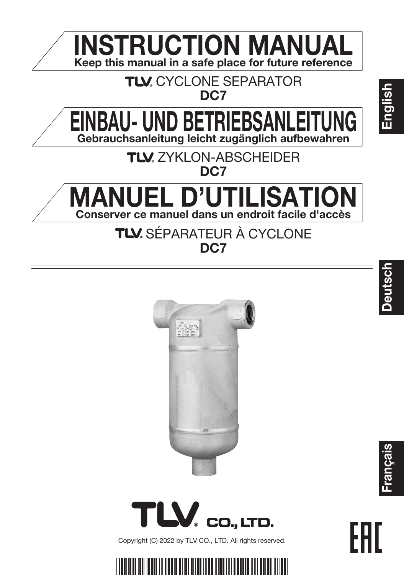





Copyright (C) 2022 by TLV CO., LTD. All rights reserved.



FAT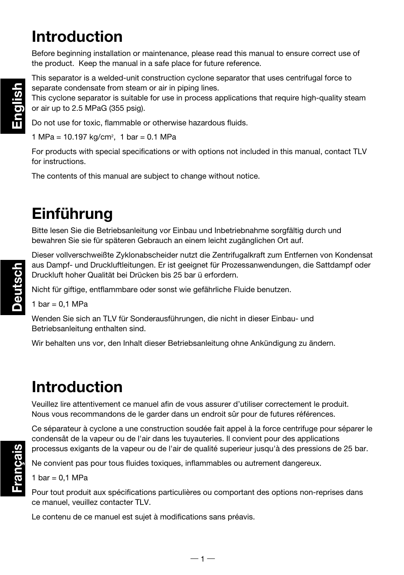### **Introduction**

Before beginning installation or maintenance, please read this manual to ensure correct use of the product. Keep the manual in a safe place for future reference.

This separator is a welded-unit construction cyclone separator that uses centrifugal force to separate condensate from steam or air in piping lines.

This cyclone separator is suitable for use in process applications that require high-quality steam or air up to 2.5 MPaG (355 psig).

Do not use for toxic, flammable or otherwise hazardous fluids.

1 MPa = 10.197 kg/cm<sup>2</sup>, 1 bar = 0.1 MPa

For products with special specifications or with options not included in this manual, contact TLV for instructions.

The contents of this manual are subject to change without notice.

### **Einführung**

Bitte lesen Sie die Betriebsanleitung vor Einbau und Inbetriebnahme sorgfältig durch und bewahren Sie sie für späteren Gebrauch an einem leicht zugänglichen Ort auf.

Dieser vollverschweißte Zyklonabscheider nutzt die Zentrifugalkraft zum Entfernen von Kondensat aus Dampf- und Druckluftleitungen. Er ist geeignet für Prozessanwendungen, die Sattdampf oder Druckluft hoher Qualität bei Drücken bis 25 bar ü erfordern.

Nicht für giftige, entflammbare oder sonst wie gefährliche Fluide benutzen.

1 bar =  $0.1$  MPa

Wenden Sie sich an TLV für Sonderausführungen, die nicht in dieser Einbau- und Betriebsanleitung enthalten sind.

Wir behalten uns vor, den Inhalt dieser Betriebsanleitung ohne Ankündigung zu ändern.

### **Introduction**

Veuillez lire attentivement ce manuel afin de vous assurer d'utiliser correctement le produit. Nous vous recommandons de le garder dans un endroit sûr pour de futures références.

Ce séparateur à cyclone a une construction soudée fait appel à la force centrifuge pour séparer le condensât de la vapeur ou de l'air dans les tuyauteries. Il convient pour des applications processus exigants de la vapeur ou de l'air de qualité superieur jusqu'à des pressions de 25 bar.

Ne convient pas pour tous fluides toxiques, inflammables ou autrement dangereux.

```
1 bar = 0.1 MPa
```
Pour tout produit aux spécifications particulières ou comportant des options non-reprises dans ce manuel, veuillez contacter TLV.

Le contenu de ce manuel est sujet à modifications sans préavis.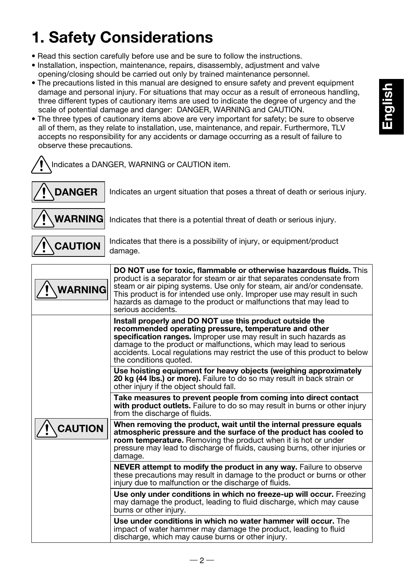### **1. Safety Considerations**

- Read this section carefully before use and be sure to follow the instructions.
- Installation, inspection, maintenance, repairs, disassembly, adjustment and valve opening/closing should be carried out only by trained maintenance personnel.
- The precautions listed in this manual are designed to ensure safety and prevent equipment damage and personal injury. For situations that may occur as a result of erroneous handling, three different types of cautionary items are used to indicate the degree of urgency and the scale of potential damage and danger: DANGER, WARNING and CAUTION.
- The three types of cautionary items above are very important for safety; be sure to observe all of them, as they relate to installation, use, maintenance, and repair. Furthermore, TLV accepts no responsibility for any accidents or damage occurring as a result of failure to observe these precautions.

Indicates a DANGER, WARNING or CAUTION item.



Indicates an urgent situation that poses a threat of death or serious injury.



**FARNING** Indicates that there is a potential threat of death or serious injury.



CAUTION Indicates that there is a possibility of injury, or equipment/product damage.

| <b>WARNING</b> | DO NOT use for toxic, flammable or otherwise hazardous fluids. This<br>product is a separator for steam or air that separates condensate from<br>steam or air piping systems. Use only for steam, air and/or condensate.<br>This product is for intended use only. Improper use may result in such<br>hazards as damage to the product or malfunctions that may lead to<br>serious accidents. |
|----------------|-----------------------------------------------------------------------------------------------------------------------------------------------------------------------------------------------------------------------------------------------------------------------------------------------------------------------------------------------------------------------------------------------|
|                | Install properly and DO NOT use this product outside the<br>recommended operating pressure, temperature and other<br>specification ranges. Improper use may result in such hazards as<br>damage to the product or malfunctions, which may lead to serious<br>accidents. Local regulations may restrict the use of this product to below<br>the conditions quoted.                             |
|                | Use hoisting equipment for heavy objects (weighing approximately<br>20 kg (44 lbs.) or more). Failure to do so may result in back strain or<br>other injury if the object should fall.                                                                                                                                                                                                        |
|                | Take measures to prevent people from coming into direct contact<br>with product outlets. Failure to do so may result in burns or other injury<br>from the discharge of fluids.                                                                                                                                                                                                                |
| <b>CAUTION</b> | When removing the product, wait until the internal pressure equals<br>atmospheric pressure and the surface of the product has cooled to<br>room temperature. Removing the product when it is hot or under<br>pressure may lead to discharge of fluids, causing burns, other injuries or<br>damage.                                                                                            |
|                | <b>NEVER attempt to modify the product in any way.</b> Failure to observe<br>these precautions may result in damage to the product or burns or other<br>iniury due to malfunction or the discharge of fluids.                                                                                                                                                                                 |
|                | Use only under conditions in which no freeze-up will occur. Freezing<br>may damage the product, leading to fluid discharge, which may cause<br>burns or other injury.                                                                                                                                                                                                                         |
|                | Use under conditions in which no water hammer will occur. The<br>impact of water hammer may damage the product, leading to fluid<br>discharge, which may cause burns or other injury.                                                                                                                                                                                                         |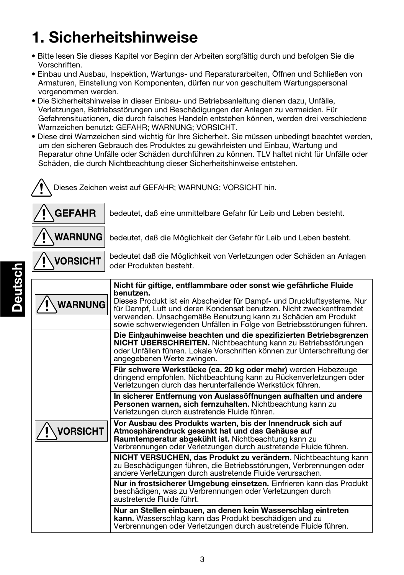# **1. Sicherheitshinweise**

- Bitte lesen Sie dieses Kapitel vor Beginn der Arbeiten sorgfältig durch und befolgen Sie die Vorschriften.
- Einbau und Ausbau, Inspektion, Wartungs- und Reparaturarbeiten, Öffnen und Schließen von Armaturen, Einstellung von Komponenten, dürfen nur von geschultem Wartungspersonal vorgenommen werden.
- Die Sicherheitshinweise in dieser Einbau- und Betriebsanleitung dienen dazu, Unfälle, Verletzungen, Betriebsstörungen und Beschädigungen der Anlagen zu vermeiden. Für Gefahrensituationen, die durch falsches Handeln entstehen können, werden drei verschiedene Warnzeichen benutzt: GEFAHR; WARNUNG; VORSICHT.
- Diese drei Warnzeichen sind wichtig für Ihre Sicherheit. Sie müssen unbedingt beachtet werden, um den sicheren Gebrauch des Produktes zu gewährleisten und Einbau, Wartung und Reparatur ohne Unfälle oder Schäden durchführen zu können. TLV haftet nicht für Unfälle oder Schäden, die durch Nichtbeachtung dieser Sicherheitshinweise entstehen.
- Dieses Zeichen weist auf GEFAHR; WARNUNG; VORSICHT hin.

| $\bigwedge$ GEFAHR | bedeutet, daß eine unmittelbare Gefahr für Leib und Leben besteht.                   |
|--------------------|--------------------------------------------------------------------------------------|
|                    | WARNUNG bedeutet, daß die Möglichkeit der Gefahr für Leib und Leben besteht.         |
|                    | <b>A VORSICHT</b> bedeutet daß die Möglichkeit von Verletzungen oder Schäden an Anla |

**VORSICHT** bedeutet daß die Möglichkeit von Verletzungen oder Schäden an Anlagen oder Produkten besteht.

|                 | Nicht für giftige, entflammbare oder sonst wie gefährliche Fluide<br>benutzen.                                                                                                                                                                                                         |
|-----------------|----------------------------------------------------------------------------------------------------------------------------------------------------------------------------------------------------------------------------------------------------------------------------------------|
| <b>WARNUNG</b>  | Dieses Produkt ist ein Abscheider für Dampf- und Druckluftsysteme. Nur<br>für Dampf, Luft und deren Kondensat benutzen. Nicht zweckentfremdet<br>verwenden. Unsachgemäße Benutzung kann zu Schäden am Produkt<br>sowie schwerwiegenden Unfällen in Folge von Betriebsstörungen führen. |
|                 | Die Einbauhinweise beachten und die spezifizierten Betriebsgrenzen<br><b>NICHT ÜBERSCHREITEN.</b> Nichtbeachtung kann zu Betriebsstörungen<br>oder Unfällen führen. Lokale Vorschriften können zur Unterschreitung der<br>angegebenen Werte zwingen.                                   |
|                 | Für schwere Werkstücke (ca. 20 kg oder mehr) werden Hebezeuge<br>dringend empfohlen. Nichtbeachtung kann zu Rückenverletzungen oder<br>Verletzungen durch das herunterfallende Werkstück führen.                                                                                       |
|                 | In sicherer Entfernung von Auslassöffnungen aufhalten und andere<br>Personen warnen, sich fernzuhalten. Nichtbeachtung kann zu<br>Verletzungen durch austretende Fluide führen.                                                                                                        |
| <b>VORSICHT</b> | Vor Ausbau des Produkts warten, bis der Innendruck sich auf<br>Atmosphärendruck gesenkt hat und das Gehäuse auf<br>Raumtemperatur abgekühlt ist. Nichtbeachtung kann zu<br>Verbrennungen oder Verletzungen durch austretende Fluide führen.                                            |
|                 | NICHT VERSUCHEN, das Produkt zu verändern. Nichtbeachtung kann<br>zu Beschädigungen führen, die Betriebsstörungen, Verbrennungen oder<br>andere Verletzungen durch austretende Fluide verursachen.                                                                                     |
|                 | Nur in frostsicherer Umgebung einsetzen. Einfrieren kann das Produkt<br>beschädigen, was zu Verbrennungen oder Verletzungen durch<br>austretende Fluide führt.                                                                                                                         |
|                 | Nur an Stellen einbauen, an denen kein Wasserschlag eintreten<br>kann. Wasserschlag kann das Produkt beschädigen und zu<br>Verbrennungen oder Verletzungen durch austretende Fluide führen.                                                                                            |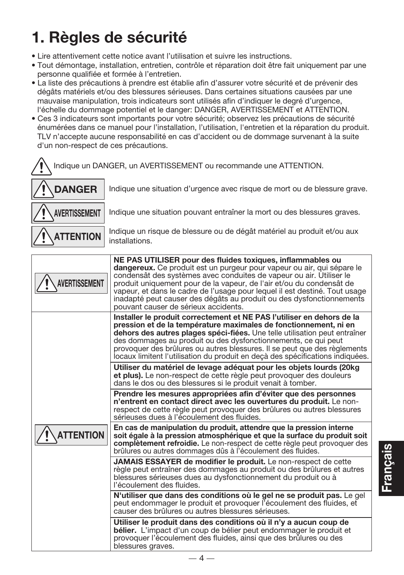# **1. Règles de sécurité**

- Lire attentivement cette notice avant l'utilisation et suivre les instructions.
- Tout démontage, installation, entretien, contrôle et réparation doit être fait uniquement par une personne qualifiée et formée à l'entretien.
- La liste des précautions à prendre est établie afin d'assurer votre sécurité et de prévenir des dégâts matériels et/ou des blessures sérieuses. Dans certaines situations causées par une mauvaise manipulation, trois indicateurs sont utilisés afin d'indiquer le degré d'urgence, l'échelle du dommage potentiel et le danger: DANGER, AVERTISSEMENT et ATTENTION.
- Ces 3 indicateurs sont importants pour votre sécurité; observez les précautions de sécurité énumérées dans ce manuel pour l'installation, l'utilisation, l'entretien et la réparation du produit. TLV n'accepte aucune responsabilité en cas d'accident ou de dommage survenant à la suite d'un non-respect de ces précautions.

|                     | IN Indique un DANGER, un AVERTISSEMENT ou recommande une ATTENTION. |
|---------------------|---------------------------------------------------------------------|
| $\bullet$ $\lambda$ |                                                                     |



 $\overline{\phantom{0}}$ 

Indique une situation d'urgence avec risque de mort ou de blessure grave.

**ERTISSEMENT** | Indique une situation pouvant entraîner la mort ou des blessures graves.

**ATTENTION** Indique un risque de blessure ou de dégât matériel au produit et/ou aux installations.

| <b>AVERTISSEMENT</b> | NE PAS UTILISER pour des fluides toxiques, inflammables ou<br>dangereux. Ce produit est un purgeur pour vapeur ou air, qui sépare le<br>condensât des systèmes avec conduites de vapeur ou air. Utiliser le<br>produit uniquement pour de la vapeur, de l'air et/ou du condensât de<br>vapeur, et dans le cadre de l'usage pour lequel il est destiné. Tout usage<br>inadapté peut causer des dégâts au produit ou des dysfonctionnements<br>pouvant causer de sérieux accidents. |
|----------------------|-----------------------------------------------------------------------------------------------------------------------------------------------------------------------------------------------------------------------------------------------------------------------------------------------------------------------------------------------------------------------------------------------------------------------------------------------------------------------------------|
|                      | Installer le produit correctement et NE PAS l'utiliser en dehors de la<br>pression et de la température maximales de fonctionnement, ni en<br>dehors des autres plages spéci-fiées. Une telle utilisation peut entraîner<br>des dommages au produit ou des dysfonctionnements, ce qui peut<br>provoquer des brûlures ou autres blessures. Il se peut que des règlements<br>locaux limitent l'utilisation du produit en decà des spécifications indiquées.                         |
|                      | Utiliser du matériel de levage adéquat pour les objets lourds (20kg<br>et plus). Le non-respect de cette règle peut provoquer des douleurs<br>dans le dos ou des blessures si le produit venait à tomber.                                                                                                                                                                                                                                                                         |
|                      | Prendre les mesures appropriées afin d'éviter que des personnes<br>n'entrent en contact direct avec les ouvertures du produit. Le non-<br>respect de cette règle peut provoquer des brûlures ou autres blessures<br>sérieuses dues à l'écoulement des fluides.                                                                                                                                                                                                                    |
| <b>ATTENTION</b>     | En cas de manipulation du produit, attendre que la pression interne<br>soit égale à la pression atmosphérique et que la surface du produit soit<br>complètement refroidie. Le non-respect de cette règle peut provoquer des<br>brûlures ou autres dommages dûs à l'écoulement des fluides.                                                                                                                                                                                        |
|                      | JAMAIS ESSAYER de modifier le produit. Le non-respect de cette<br>règle peut entraîner des dommages au produit ou des brûlures et autres<br>blessures sérieuses dues au dysfonctionnement du produit ou à<br>l'écoulement des fluides.                                                                                                                                                                                                                                            |
|                      | N'utiliser que dans des conditions où le gel ne se produit pas. Le gel<br>peut endommager le produit et provoquer l'écoulement des fluides, et<br>causer des brûlures ou autres blessures sérieuses.                                                                                                                                                                                                                                                                              |
|                      | Utiliser le produit dans des conditions où il n'y a aucun coup de<br>bélier. L'impact d'un coup de bélier peut endommager le produit et<br>provoquer l'écoulement des fluides, ainsi que des brûlures ou des<br>blessures graves.                                                                                                                                                                                                                                                 |

**Français**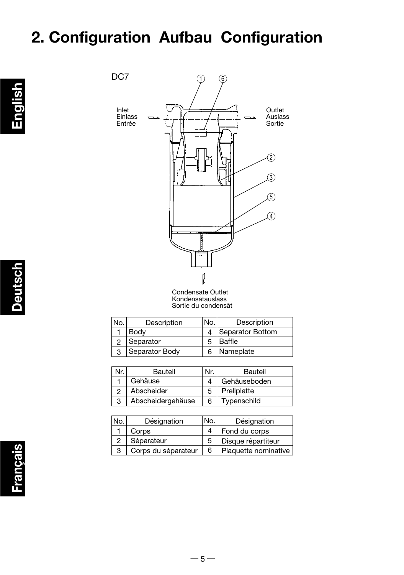### **2. Configuration Aufbau Configuration**



Condensate Outlet Kondensatauslass Sortie du condensât

| No. | Description    | 'No. | Description      |
|-----|----------------|------|------------------|
|     | Body           |      | Separator Bottom |
|     | Separator      |      | Baffle           |
|     | Separator Body |      | Nameplate        |

| Nr. | Bauteil           | Nr. | Bauteil      |
|-----|-------------------|-----|--------------|
|     | Gehäuse           |     | Gehäuseboden |
|     | Abscheider        | 5   | Prellplatte  |
|     | Abscheidergehäuse |     | Typenschild  |

| 'No. | Désignation         | 'No. | Désignation          |
|------|---------------------|------|----------------------|
|      | Corps               |      | Fond du corps        |
|      | Séparateur          | 5    | Disque répartiteur   |
|      | Corps du séparateur | 6    | Plaquette nominative |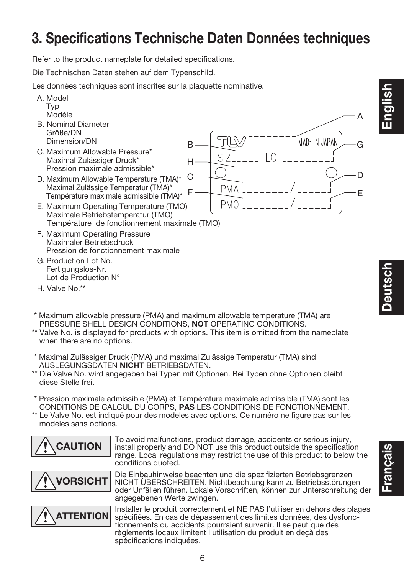### **3. Specifications Technische Daten Données techniques**

H

 $SI7$ 

PMA PMO

F

Refer to the product nameplate for detailed specifications.

Die Technischen Daten stehen auf dem Typenschild.

Les données techniques sont inscrites sur la plaquette nominative.

- A. Model Typ Modèle
- B. Nominal Diameter Größe/DN Dimension/DN B
- C. Maximum Allowable Pressure\* Maximal Zulässiger Druck\* Pression maximale admissible\*
- D. Maximum Allowable Temperature (TMA)\* Maximal Zulässige Temperatur (TMA)\* Température maximale admissible (TMA)\* C
- E. Maximum Operating Temperature (TMO) Maximale Betriebstemperatur (TMO) Température de fonctionnement maximale (TMO)
- F. Maximum Operating Pressure Maximaler Betriebsdruck Pression de fonctionnement maximale
- G. Production Lot No. Fertigungslos-Nr. Lot de Production N°
- H. Valve No.\*\*
- \* Maximum allowable pressure (PMA) and maximum allowable temperature (TMA) are PRESSURE SHELL DESIGN CONDITIONS, **NOT** OPERATING CONDITIONS.
- \*\* Valve No. is displayed for products with options. This item is omitted from the nameplate when there are no options.
- \* Maximal Zulässiger Druck (PMA) und maximal Zulässige Temperatur (TMA) sind AUSLEGUNGSDATEN **NICHT** BETRIEBSDATEN.
- \*\* Die Valve No. wird angegeben bei Typen mit Optionen. Bei Typen ohne Optionen bleibt diese Stelle frei.
- \* Pression maximale admissible (PMA) et Température maximale admissible (TMA) sont les CONDITIONS DE CALCUL DU CORPS, **PAS** LES CONDITIONS DE FONCTIONNEMENT.
- Le Valve No. est indiqué pour des modeles avec options. Ce numéro ne figure pas sur les modèles sans options.

 $-6 -$ 



To avoid malfunctions, product damage, accidents or serious injury, install properly and DO NOT use this product outside the specification range. Local regulations may restrict the use of this product to below the conditions quoted.



Die Einbauhinweise beachten und die spezifizierten Betriebsgrenzen NICHT ÜBERSCHREITEN. Nichtbeachtung kann zu Betriebsstörungen oder Unfällen führen. Lokale Vorschriften, können zur Unterschreitung der angegebenen Werte zwingen.



Installer le produit correctement et NE PAS l'utiliser en dehors des plages spécifiées. En cas de dépassement des limites données, des dysfonctionnements ou accidents pourraient survenir. Il se peut que des règlements locaux limitent l'utilisation du produit en deçà des spécifications indiquées.

A

G

MADE IN JAPAN

D E

Francais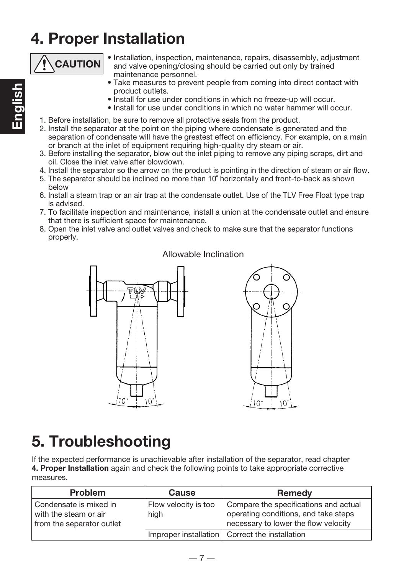# **4. Proper Installation**

| <b>CAUTION</b> | • Installation, inspection, maintenance, repairs, disassembly, adjustment<br>and valve opening/closing should be carried out only by trained<br>maintenance personnel.<br>• Take measures to prevent people from coming into direct contact with<br>product outlets.<br>. Install for use under conditions in which no freeze-up will occur.<br>• Install for use under conditions in which no water hammer will occur.                                                                                            |
|----------------|--------------------------------------------------------------------------------------------------------------------------------------------------------------------------------------------------------------------------------------------------------------------------------------------------------------------------------------------------------------------------------------------------------------------------------------------------------------------------------------------------------------------|
|                | 1. Before installation, be sure to remove all protective seals from the product.<br>2. Install the separator at the point on the piping where condensate is generated and the<br>separation of condensate will have the greatest effect on efficiency. For example, on a main<br>or branch at the inlet of equipment requiring high-quality dry steam or air.<br>3. Before installing the separator, blow out the inlet piping to remove any piping scraps, dirt and<br>oil. Close the inlet valve after blowdown. |

- 4. Install the separator so the arrow on the product is pointing in the direction of steam or air flow.
- 5. The separator should be inclined no more than 10˚ horizontally and front-to-back as shown below
- 6. Install a steam trap or an air trap at the condensate outlet. Use of the TLV Free Float type trap is advised.
- 7. To facilitate inspection and maintenance, install a union at the condensate outlet and ensure that there is sufficient space for maintenance.
- 8. Open the inlet valve and outlet valves and check to make sure that the separator functions properly.

Allowable Inclination





### **5. Troubleshooting**

If the expected performance is unachievable after installation of the separator, read chapter **4. Proper Installation** again and check the following points to take appropriate corrective measures.

| <b>Problem</b>                                                               | Cause                        | Remedy                                                                                                                |
|------------------------------------------------------------------------------|------------------------------|-----------------------------------------------------------------------------------------------------------------------|
| Condensate is mixed in<br>with the steam or air<br>from the separator outlet | Flow velocity is too<br>high | Compare the specifications and actual<br>operating conditions, and take steps<br>necessary to lower the flow velocity |
|                                                                              |                              | Improper installation   Correct the installation                                                                      |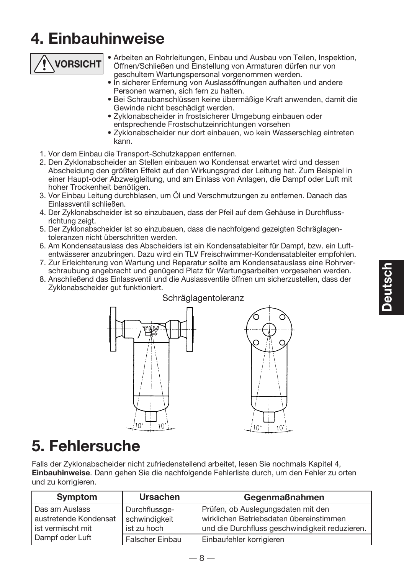### **4. Einbauhinweise**

# **VORSICHT**

• Arbeiten an Rohrleitungen, Einbau und Ausbau von Teilen, Inspektion, Öffnen/Schließen und Einstellung von Armaturen dürfen nur von geschultem Wartungspersonal vorgenommen werden.

- In sicherer Enfernung von Auslassöffnungen aufhalten und andere Personen warnen, sich fern zu halten.
- Bei Schraubanschlüssen keine übermäßige Kraft anwenden, damit die Gewinde nicht beschädigt werden.
- Zyklonabscheider in frostsicherer Umgebung einbauen oder entsprechende Frostschutzeinrichtungen vorsehen
- Zyklonabscheider nur dort einbauen, wo kein Wasserschlag eintreten kann.
- 1. Vor dem Einbau die Transport-Schutzkappen entfernen.
- 2. Den Zyklonabscheider an Stellen einbauen wo Kondensat erwartet wird und dessen Abscheidung den größten Effekt auf den Wirkungsgrad der Leitung hat. Zum Beispiel in einer Haupt-oder Abzweigleitung, und am Einlass von Anlagen, die Dampf oder Luft mit hoher Trockenheit benötigen.
- 3. Vor Einbau Leitung durchblasen, um Öl und Verschmutzungen zu entfernen. Danach das Einlassventil schließen.
- 4. Der Zyklonabscheider ist so einzubauen, dass der Pfeil auf dem Gehäuse in Durchflussrichtung zeigt.
- 5. Der Zyklonabscheider ist so einzubauen, dass die nachfolgend gezeigten Schräglagentoleranzen nicht überschritten werden.
- 6. Am Kondensatauslass des Abscheiders ist ein Kondensatableiter für Dampf, bzw. ein Luftentwässerer anzubringen. Dazu wird ein TLV Freischwimmer-Kondensatableiter empfohlen.
- 7. Zur Erleichterung von Wartung und Reparatur sollte am Kondensatauslass eine Rohrverschraubung angebracht und genügend Platz für Wartungsarbeiten vorgesehen werden.
- 8. Anschließend das Einlassventil und die Auslassventile öffnen um sicherzustellen, dass der Zyklonabscheider gut funktioniert.



### **5. Fehlersuche**

Falls der Zyklonabscheider nicht zufriedenstellend arbeitet, lesen Sie nochmals Kapitel 4, **Einbauhinweise**. Dann gehen Sie die nachfolgende Fehlerliste durch, um den Fehler zu orten und zu korrigieren.

10

| Symptom                                                      | <b>Ursachen</b>                               | Gegenmaßnahmen                                                                                                                  |
|--------------------------------------------------------------|-----------------------------------------------|---------------------------------------------------------------------------------------------------------------------------------|
| Das am Auslass<br>austretende Kondensat<br>ist vermischt mit | Durchflussge-<br>schwindigkeit<br>ist zu hoch | Prüfen, ob Auslegungsdaten mit den<br>wirklichen Betriebsdaten übereinstimmen<br>und die Durchfluss geschwindigkeit reduzieren. |
| Dampf oder Luft                                              | <b>Falscher Einbau</b>                        | Einbaufehler korrigieren                                                                                                        |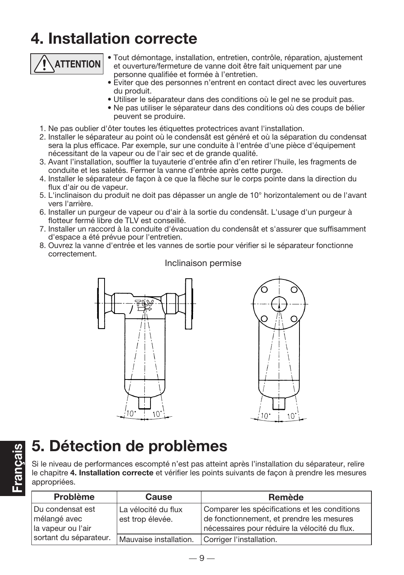### **4. Installation correcte**

# **ATTENTION**

- Tout démontage, installation, entretien, contrôle, réparation, ajustement et ouverture/fermeture de vanne doit être fait uniquement par une personne qualifiée et formée à l'entretien.
- Eviter que des personnes n'entrent en contact direct avec les ouvertures du produit.
- Utiliser le séparateur dans des conditions où le gel ne se produit pas.
- Ne pas utiliser le séparateur dans des conditions où des coups de bélier peuvent se produire.
- 1. Ne pas oublier d'ôter toutes les étiquettes protectrices avant l'installation.
- 2. Installer le séparateur au point où le condensât est généré et où la séparation du condensat sera la plus efficace. Par exemple, sur une conduite à l'entrée d'une pièce d'équipement nécessitant de la vapeur ou de l'air sec et de grande qualité.
- 3. Avant l'installation, souffler la tuyauterie d'entrée afin d'en retirer l'huile, les fragments de conduite et les saletés. Fermer la vanne d'entrée après cette purge.
- 4. Installer le séparateur de façon à ce que la flèche sur le corps pointe dans la direction du flux d'air ou de vapeur.
- 5. L'inclinaison du produit ne doit pas dépasser un angle de 10° horizontalement ou de l'avant vers l'arrière.
- 6. Installer un purgeur de vapeur ou d'air à la sortie du condensât. L'usage d'un purgeur à flotteur fermé libre de TLV est conseillé.
- 7. Installer un raccord à la conduite d'évacuation du condensât et s'assurer que suffisamment d'espace a été prévue pour l'entretien.
- Inclinaison permise 8. Ouvrez la vanne d'entrée et les vannes de sortie pour vérifier si le séparateur fonctionne correctement.

10



### **5. Détection de problèmes**

Si le niveau de performances escompté n'est pas atteint après l'installation du séparateur, relire le chapitre **4. Installation correcte** et vérifier les points suivants de façon à prendre les mesures appropriées.

| Problème                                               | Cause                                   | Remède                                                                                                                                      |
|--------------------------------------------------------|-----------------------------------------|---------------------------------------------------------------------------------------------------------------------------------------------|
| Du condensat est<br>mélangé avec<br>la vapeur ou l'air | La vélocité du flux<br>est trop élevée. | Comparer les spécifications et les conditions<br>de fonctionnement, et prendre les mesures<br>nécessaires pour réduire la vélocité du flux. |
| sortant du séparateur.                                 | Mauvaise installation.                  | Corriger l'installation.                                                                                                                    |

#### $-9 -$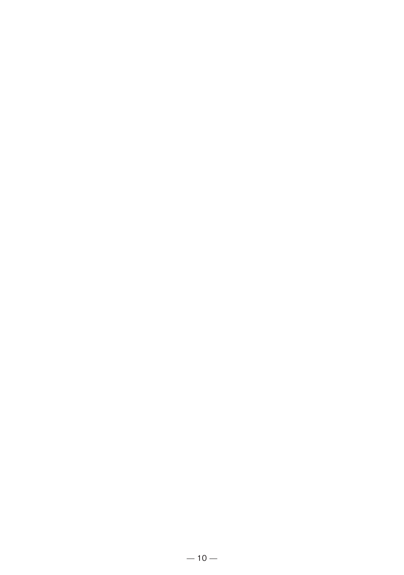$-10 -$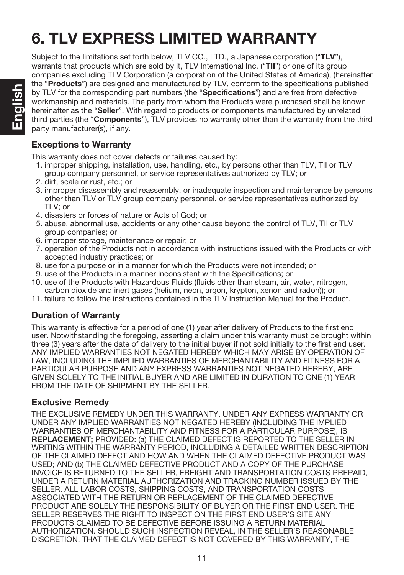# **6. TLV EXPRESS LIMITED WARRANTY**

Subject to the limitations set forth below, TLV CO., LTD., a Japanese corporation ("**TLV**"), warrants that products which are sold by it, TLV International Inc. ("**TII**") or one of its group companies excluding TLV Corporation (a corporation of the United States of America), (hereinafter the "**Products**") are designed and manufactured by TLV, conform to the specifications published by TLV for the corresponding part numbers (the "**Specifications**") and are free from defective workmanship and materials. The party from whom the Products were purchased shall be known hereinafter as the "**Seller**". With regard to products or components manufactured by unrelated third parties (the "**Components**"), TLV provides no warranty other than the warranty from the third party manufacturer(s), if any.

#### **Exceptions to Warranty**

This warranty does not cover defects or failures caused by:

- 1. improper shipping, installation, use, handling, etc., by persons other than TLV, TII or TLV group company personnel, or service representatives authorized by TLV; or
- 2. dirt, scale or rust, etc.; or
- 3. improper disassembly and reassembly, or inadequate inspection and maintenance by persons other than TLV or TLV group company personnel, or service representatives authorized by TLV; or
- 4. disasters or forces of nature or Acts of God; or
- 5. abuse, abnormal use, accidents or any other cause beyond the control of TLV, TII or TLV group companies; or
- 6. improper storage, maintenance or repair; or
- 7. operation of the Products not in accordance with instructions issued with the Products or with accepted industry practices; or
- 8. use for a purpose or in a manner for which the Products were not intended; or
- 9. use of the Products in a manner inconsistent with the Specifications; or
- 10. use of the Products with Hazardous Fluids (fluids other than steam, air, water, nitrogen, carbon dioxide and inert gases (helium, neon, argon, krypton, xenon and radon)); or
- 11. failure to follow the instructions contained in the TLV Instruction Manual for the Product.

#### **Duration of Warranty**

This warranty is effective for a period of one (1) year after delivery of Products to the first end user. Notwithstanding the foregoing, asserting a claim under this warranty must be brought within three (3) years after the date of delivery to the initial buyer if not sold initially to the first end user. ANY IMPLIED WARRANTIES NOT NEGATED HEREBY WHICH MAY ARISE BY OPERATION OF LAW, INCLUDING THE IMPLIED WARRANTIES OF MERCHANTABILITY AND FITNESS FOR A PARTICULAR PURPOSE AND ANY EXPRESS WARRANTIES NOT NEGATED HEREBY, ARE GIVEN SOLELY TO THE INITIAL BUYER AND ARE LIMITED IN DURATION TO ONE (1) YEAR FROM THE DATE OF SHIPMENT BY THE SELLER.

#### **Exclusive Remedy**

THE EXCLUSIVE REMEDY UNDER THIS WARRANTY, UNDER ANY EXPRESS WARRANTY OR UNDER ANY IMPLIED WARRANTIES NOT NEGATED HEREBY (INCLUDING THE IMPLIED WARRANTIES OF MERCHANTABILITY AND FITNESS FOR A PARTICULAR PURPOSE), IS **REPLACEMENT;** PROVIDED: (a) THE CLAIMED DEFECT IS REPORTED TO THE SELLER IN WRITING WITHIN THE WARRANTY PERIOD, INCLUDING A DETAILED WRITTEN DESCRIPTION OF THE CLAIMED DEFECT AND HOW AND WHEN THE CLAIMED DEFECTIVE PRODUCT WAS USED; AND (b) THE CLAIMED DEFECTIVE PRODUCT AND A COPY OF THE PURCHASE INVOICE IS RETURNED TO THE SELLER, FREIGHT AND TRANSPORTATION COSTS PREPAID, UNDER A RETURN MATERIAL AUTHORIZATION AND TRACKING NUMBER ISSUED BY THE SELLER. ALL LABOR COSTS, SHIPPING COSTS, AND TRANSPORTATION COSTS ASSOCIATED WITH THE RETURN OR REPLACEMENT OF THE CLAIMED DEFECTIVE PRODUCT ARE SOLELY THE RESPONSIBILITY OF BUYER OR THE FIRST END USER. THE SELLER RESERVES THE RIGHT TO INSPECT ON THE FIRST END USER'S SITE ANY PRODUCTS CLAIMED TO BE DEFECTIVE BEFORE ISSUING A RETURN MATERIAL AUTHORIZATION. SHOULD SUCH INSPECTION REVEAL, IN THE SELLER'S REASONABLE DISCRETION, THAT THE CLAIMED DEFECT IS NOT COVERED BY THIS WARRANTY, THE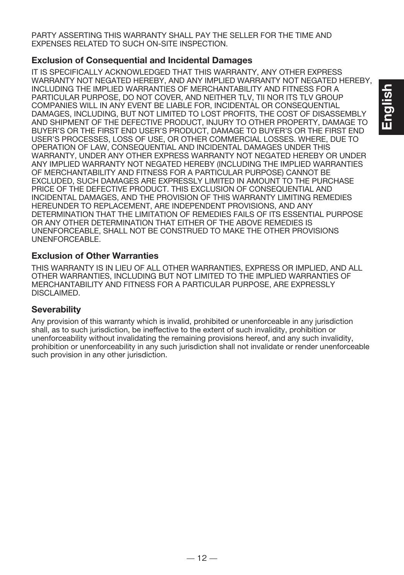PARTY ASSERTING THIS WARRANTY SHALL PAY THE SELLER FOR THE TIME AND EXPENSES RELATED TO SUCH ON-SITE INSPECTION.

#### **Exclusion of Consequential and Incidental Damages**

IT IS SPECIFICALLY ACKNOWLEDGED THAT THIS WARRANTY, ANY OTHER EXPRESS WARRANTY NOT NEGATED HEREBY, AND ANY IMPLIED WARRANTY NOT NEGATED HEREBY, INCLUDING THE IMPLIED WARRANTIES OF MERCHANTABILITY AND FITNESS FOR A PARTICULAR PURPOSE, DO NOT COVER, AND NEITHER TLV, TII NOR ITS TLV GROUP COMPANIES WILL IN ANY EVENT BE LIABLE FOR, INCIDENTAL OR CONSEQUENTIAL DAMAGES, INCLUDING, BUT NOT LIMITED TO LOST PROFITS, THE COST OF DISASSEMBLY AND SHIPMENT OF THE DEFECTIVE PRODUCT, INJURY TO OTHER PROPERTY, DAMAGE TO BUYER'S OR THE FIRST END USER'S PRODUCT, DAMAGE TO BUYER'S OR THE FIRST END USER'S PROCESSES, LOSS OF USE, OR OTHER COMMERCIAL LOSSES. WHERE, DUE TO OPERATION OF LAW, CONSEQUENTIAL AND INCIDENTAL DAMAGES UNDER THIS WARRANTY, UNDER ANY OTHER EXPRESS WARRANTY NOT NEGATED HEREBY OR UNDER ANY IMPLIED WARRANTY NOT NEGATED HEREBY (INCLUDING THE IMPLIED WARRANTIES OF MERCHANTABILITY AND FITNESS FOR A PARTICULAR PURPOSE) CANNOT BE EXCLUDED, SUCH DAMAGES ARE EXPRESSLY LIMITED IN AMOUNT TO THE PURCHASE PRICE OF THE DEFECTIVE PRODUCT. THIS EXCLUSION OF CONSEQUENTIAL AND INCIDENTAL DAMAGES, AND THE PROVISION OF THIS WARRANTY LIMITING REMEDIES HEREUNDER TO REPLACEMENT, ARE INDEPENDENT PROVISIONS, AND ANY DETERMINATION THAT THE LIMITATION OF REMEDIES FAILS OF ITS ESSENTIAL PURPOSE OR ANY OTHER DETERMINATION THAT EITHER OF THE ABOVE REMEDIES IS UNENFORCEABLE, SHALL NOT BE CONSTRUED TO MAKE THE OTHER PROVISIONS UNENFORCEABLE.

#### **Exclusion of Other Warranties**

THIS WARRANTY IS IN LIEU OF ALL OTHER WARRANTIES, EXPRESS OR IMPLIED, AND ALL OTHER WARRANTIES, INCLUDING BUT NOT LIMITED TO THE IMPLIED WARRANTIES OF MERCHANTABILITY AND FITNESS FOR A PARTICULAR PURPOSE, ARE EXPRESSLY DISCLAIMED.

#### **Severability**

Any provision of this warranty which is invalid, prohibited or unenforceable in any jurisdiction shall, as to such jurisdiction, be ineffective to the extent of such invalidity, prohibition or unenforceability without invalidating the remaining provisions hereof, and any such invalidity, prohibition or unenforceability in any such jurisdiction shall not invalidate or render unenforceable such provision in any other jurisdiction.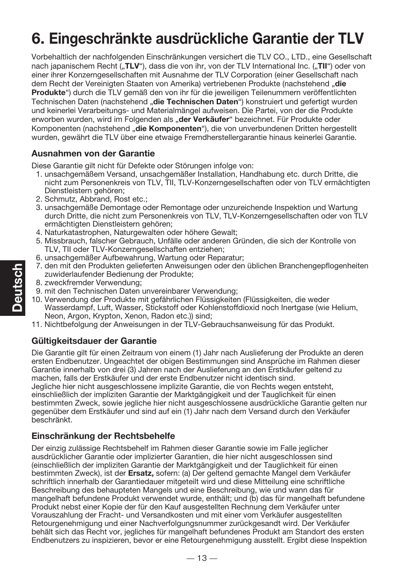## **6. Eingeschränkte ausdrückliche Garantie der TLV**

Vorbehaltlich der nachfolgenden Einschränkungen versichert die TLV CO., LTD., eine Gesellschaft nach japanischem Recht ("TLV"), dass die von ihr, von der TLV International Inc. ("TII") oder von einer ihrer Konzerngesellschaften mit Ausnahme der TLV Corporation (einer Gesellschaft nach dem Recht der Vereinigten Staaten von Amerika) vertriebenen Produkte (nachstehend "**die Produkte**") durch die TLV gemäß den von ihr für die jeweiligen Teilenummern veröffentlichten Technischen Daten (nachstehend "die Technischen Daten") konstruiert und gefertigt wurden und keinerlei Verarbeitungs- und Materialmängel aufweisen. Die Partei, von der die Produkte erworben wurden, wird im Folgenden als "der Verkäufer" bezeichnet. Für Produkte oder Komponenten (nachstehend "die Komponenten"), die von unverbundenen Dritten hergestellt wurden, gewährt die TLV über eine etwaige Fremdherstellergarantie hinaus keinerlei Garantie.

#### **Ausnahmen von der Garantie**

Diese Garantie gilt nicht für Defekte oder Störungen infolge von:

- 1. unsachgemäßem Versand, unsachgemäßer Installation, Handhabung etc. durch Dritte, die nicht zum Personenkreis von TLV, TII, TLV-Konzerngesellschaften oder von TLV ermächtigten Dienstleistern gehören;
- 2. Schmutz, Abbrand, Rost etc.;
- 3. unsachgemäße Demontage oder Remontage oder unzureichende Inspektion und Wartung durch Dritte, die nicht zum Personenkreis von TLV, TLV-Konzerngesellschaften oder von TLV ermächtigten Dienstleistern gehören;
- 4. Naturkatastrophen, Naturgewalten oder höhere Gewalt;
- 5. Missbrauch, falscher Gebrauch, Unfälle oder anderen Gründen, die sich der Kontrolle von TLV, TII oder TLV-Konzerngesellschaften entziehen;
- 6. unsachgemäßer Aufbewahrung, Wartung oder Reparatur;
- 7. den mit den Produkten gelieferten Anweisungen oder den üblichen Branchengepflogenheiten zuwiderlaufender Bedienung der Produkte;
- 8. zweckfremder Verwendung;
- 9. mit den Technischen Daten unvereinbarer Verwendung;
- 10. Verwendung der Produkte mit gefährlichen Flüssigkeiten (Flüssigkeiten, die weder Wasserdampf, Luft, Wasser, Stickstoff oder Kohlenstoffdioxid noch Inertgase (wie Helium, Neon, Argon, Krypton, Xenon, Radon etc.)) sind;
- 11. Nichtbefolgung der Anweisungen in der TLV-Gebrauchsanweisung für das Produkt.

#### **Gültigkeitsdauer der Garantie**

Die Garantie gilt für einen Zeitraum von einem (1) Jahr nach Auslieferung der Produkte an deren ersten Endbenutzer. Ungeachtet der obigen Bestimmungen sind Ansprüche im Rahmen dieser Garantie innerhalb von drei (3) Jahren nach der Auslieferung an den Erstkäufer geltend zu machen, falls der Erstkäufer und der erste Endbenutzer nicht identisch sind.

Jegliche hier nicht ausgeschlossene implizite Garantie, die von Rechts wegen entsteht, einschließlich der impliziten Garantie der Marktgängigkeit und der Tauglichkeit für einen bestimmten Zweck, sowie jegliche hier nicht ausgeschlossene ausdrückliche Garantie gelten nur gegenüber dem Erstkäufer und sind auf ein (1) Jahr nach dem Versand durch den Verkäufer beschränkt.

#### **Einschränkung der Rechtsbehelfe**

Der einzig zulässige Rechtsbehelf im Rahmen dieser Garantie sowie im Falle jeglicher ausdrücklicher Garantie oder implizierter Garantien, die hier nicht ausgeschlossen sind (einschließlich der impliziten Garantie der Marktgängigkeit und der Tauglichkeit für einen bestimmten Zweck), ist der **Ersatz,** sofern: (a) Der geltend gemachte Mangel dem Verkäufer schriftlich innerhalb der Garantiedauer mitgeteilt wird und diese Mitteilung eine schriftliche Beschreibung des behaupteten Mangels und eine Beschreibung, wie und wann das für mangelhaft befundene Produkt verwendet wurde, enthält; und (b) das für mangelhaft befundene Produkt nebst einer Kopie der für den Kauf ausgestellten Rechnung dem Verkäufer unter Vorauszahlung der Fracht- und Versandkosten und mit einer vom Verkäufer ausgestellten Retourgenehmigung und einer Nachverfolgungsnummer zurückgesandt wird. Der Verkäufer behält sich das Recht vor, jegliches für mangelhaft befundenes Produkt am Standort des ersten Endbenutzers zu inspizieren, bevor er eine Retourgenehmigung ausstellt. Ergibt diese Inspektion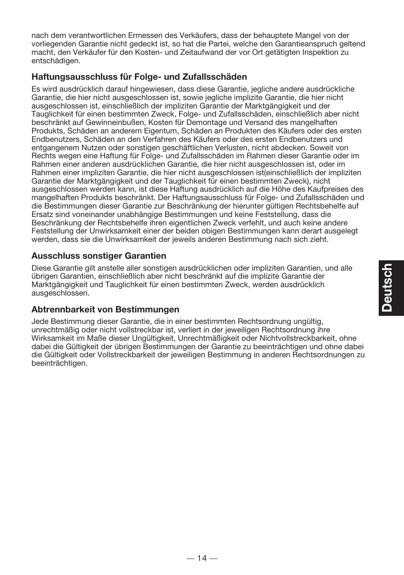nach dem verantwortlichen Ermessen des Verkäufers, dass der behauptete Mangel von der vorliegenden Garantie nicht gedeckt ist, so hat die Partei, welche den Garantieanspruch geltend macht, den Verkäufer für den Kosten- und Zeitaufwand der vor Ort getätigten Inspektion zu entschädigen.

#### **Haftungsausschluss für Folge- und Zufallsschäden**

Es wird ausdrücklich darauf hingewiesen, dass diese Garantie, jegliche andere ausdrückliche Garantie, die hier nicht ausgeschlossen ist, sowie jegliche implizite Garantie, die hier nicht ausgeschlossen ist, einschließlich der impliziten Garantie der Marktgängigkeit und der Tauglichkeit für einen bestimmten Zweck, Folge- und Zufallsschäden, einschließlich aber nicht beschränkt auf Gewinneinbußen, Kosten für Demontage und Versand des mangelhaften Produkts, Schäden an anderem Eigentum, Schäden an Produkten des Käufers oder des ersten Endbenutzers, Schäden an den Verfahren des Käufers oder des ersten Endbenutzers und entgangenem Nutzen oder sonstigen geschäftlichen Verlusten, nicht abdecken. Soweit von Rechts wegen eine Haftung für Folge- und Zufallsschäden im Rahmen dieser Garantie oder im Rahmen einer anderen ausdrücklichen Garantie, die hier nicht ausgeschlossen ist, oder im Rahmen einer impliziten Garantie, die hier nicht ausgeschlossen ist(einschließlich der impliziten Garantie der Marktgängigkeit und der Tauglichkeit für einen bestimmten Zweck), nicht ausgeschlossen werden kann, ist diese Haftung ausdrücklich auf die Höhe des Kaufpreises des mangelhaften Produkts beschränkt. Der Haftungsausschluss für Folge- und Zufallsschäden und die Bestimmungen dieser Garantie zur Beschränkung der hierunter gültigen Rechtsbehelfe auf Ersatz sind voneinander unabhängige Bestimmungen und keine Feststellung, dass die Beschränkung der Rechtsbehelfe ihren eigentlichen Zweck verfehlt, und auch keine andere Feststellung der Unwirksamkeit einer der beiden obigen Bestimmungen kann derart ausgelegt werden, dass sie die Unwirksamkeit der jeweils anderen Bestimmung nach sich zieht.

#### **Ausschluss sonstiger Garantien**

Diese Garantie gilt anstelle aller sonstigen ausdrücklichen oder impliziten Garantien, und alle übrigen Garantien, einschließlich aber nicht beschränkt auf die implizite Garantie der Marktgängigkeit und Tauglichkeit für einen bestimmten Zweck, werden ausdrücklich ausgeschlossen.

#### **Abtrennbarkeit von Bestimmungen**

Jede Bestimmung dieser Garantie, die in einer bestimmten Rechtsordnung ungültig, unrechtmäßig oder nicht vollstreckbar ist, verliert in der jeweiligen Rechtsordnung ihre Wirksamkeit im Maße dieser Ungültigkeit, Unrechtmäßigkeit oder Nichtvollstreckbarkeit, ohne dabei die Gültigkeit der übrigen Bestimmungen der Garantie zu beeinträchtigen und ohne dabei die Gültigkeit oder Vollstreckbarkeit der jeweiligen Bestimmung in anderen Rechtsordnungen zu beeinträchtigen.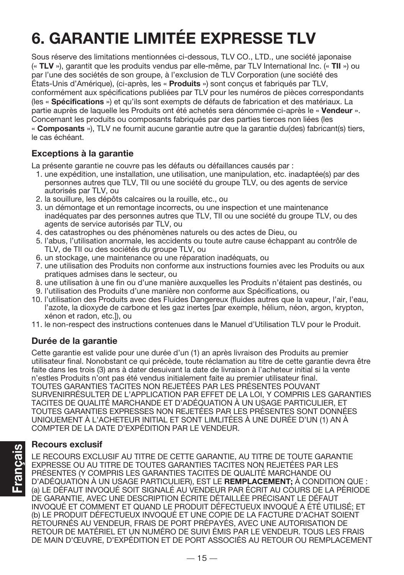# **6. GARANTIE LIMITÉE EXPRESSE TLV**

Sous réserve des limitations mentionnées ci-dessous, TLV CO., LTD., une société japonaise (« **TLV** »), garantit que les produits vendus par elle-même, par TLV International Inc. (« **TII** ») ou par l'une des sociétés de son groupe, à l'exclusion de TLV Corporation (une société des États-Unis d'Amérique), (ci-après, les « **Produits** ») sont conçus et fabriqués par TLV, conformément aux spécifications publiées par TLV pour les numéros de pièces correspondants (les « **Spécifications** ») et qu'ils sont exempts de défauts de fabrication et des matériaux. La partie auprès de laquelle les Produits ont été achetés sera dénommée ci-après le « **Vendeur** ». Concernant les produits ou composants fabriqués par des parties tierces non liées (les « **Composants** »), TLV ne fournit aucune garantie autre que la garantie du(des) fabricant(s) tiers, le cas échéant.

#### **Exceptions à la garantie**

La présente garantie ne couvre pas les défauts ou défaillances causés par :

- 1. une expédition, une installation, une utilisation, une manipulation, etc. inadaptée(s) par des personnes autres que TLV, TII ou une société du groupe TLV, ou des agents de service autorisés par TLV, ou
- 2. la souillure, les dépôts calcaires ou la rouille, etc., ou
- 3. un démontage et un remontage incorrects, ou une inspection et une maintenance inadéquates par des personnes autres que TLV, TII ou une société du groupe TLV, ou des agents de service autorisés par TLV, ou
- 4. des catastrophes ou des phénomènes naturels ou des actes de Dieu, ou
- 5. l'abus, l'utilisation anormale, les accidents ou toute autre cause échappant au contrôle de TLV, de TII ou des sociétés du groupe TLV, ou
- 6. un stockage, une maintenance ou une réparation inadéquats, ou
- 7. une utilisation des Produits non conforme aux instructions fournies avec les Produits ou aux pratiques admises dans le secteur, ou
- 8. une utilisation à une fin ou d'une manière auxquelles les Produits n'étaient pas destinés, ou
- 9. l'utilisation des Produits d'une manière non conforme aux Spécifications, ou
- 10. l'utilisation des Produits avec des Fluides Dangereux (fluides autres que la vapeur, l'air, l'eau, l'azote, la dioxyde de carbone et les gaz inertes [par exemple, hélium, néon, argon, krypton, xénon et radon, etc.]), ou
- 11. le non-respect des instructions contenues dans le Manuel d'Utilisation TLV pour le Produit.

### **Durée de la garantie**

Cette garantie est valide pour une durée d'un (1) an après livraison des Produits au premier utilisateur final. Nonobstant ce qui précède, toute réclamation au titre de cette garantie devra être faite dans les trois (3) ans à dater desuivant la date de livraison à l'acheteur initial si la vente n'estles Produits n'ont pas été vendus initialement faite au premier utilisateur final. TOUTES GARANTIES TACITES NON REJETÉES PAR LES PRÉSENTES POUVANT SURVENIRRÉSULTER DE L'APPLICATION PAR EFFET DE LA LOI, Y COMPRIS LES GARANTIES TACITES DE QUALITÉ MARCHANDE ET D'ADÉQUATION À UN USAGE PARTICULIER, ET TOUTES GARANTIES EXPRESSES NON REJETÉES PAR LES PRÉSENTES SONT DONNÉES UNIQUEMENT À L'ACHETEUR INITIAL ET SONT LIMLITÉES À UNE DURÉE D'UN (1) AN À COMPTER DE LA DATE D'EXPÉDITION PAR LE VENDEUR.

#### **Recours exclusif**

LE RECOURS EXCLUSIF AU TITRE DE CETTE GARANTIE, AU TITRE DE TOUTE GARANTIE EXPRESSE OU AU TITRE DE TOUTES GARANTIES TACITES NON REJETÉES PAR LES PRÉSENTES (Y COMPRIS LES GARANTIES TACITES DE QUALITÉ MARCHANDE OU D'ADÉQUATION À UN USAGE PARTICULIER), EST LE **REMPLACEMENT;** À CONDITION QUE : (a) LE DÉFAUT INVOQUÉ SOIT SIGNALÉ AU VENDEUR PAR ÉCRIT AU COURS DE LA PÉRIODE DE GARANTIE, AVEC UNE DESCRIPTION ÉCRITE DÉTAILLÉE PRÉCISANT LE DÉFAUT INVOQUÉ ET COMMENT ET QUAND LE PRODUIT DÉFECTUEUX INVOQUÉ A ÉTÉ UTILISÉ; ET (b) LE PRODUIT DÉFECTUEUX INVOQUÉ ET UNE COPIE DE LA FACTURE D'ACHAT SOIENT RETOURNÉS AU VENDEUR, FRAIS DE PORT PRÉPAYÉS, AVEC UNE AUTORISATION DE RETOUR DE MATÉRIEL ET UN NUMÉRO DE SUIVI ÉMIS PAR LE VENDEUR. TOUS LES FRAIS DE MAIN D'ŒUVRE, D'EXPÉDITION ET DE PORT ASSOCIÉS AU RETOUR OU REMPLACEMENT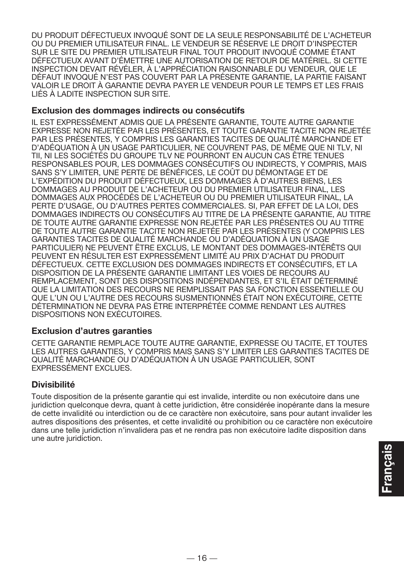DU PRODUIT DÉFECTUEUX INVOQUÉ SONT DE LA SEULE RESPONSABILITÉ DE L'ACHETEUR OU DU PREMIER UTILISATEUR FINAL. LE VENDEUR SE RÉSERVE LE DROIT D'INSPECTER SUR LE SITE DU PREMIER UTILISATEUR FINAL TOUT PRODUIT INVOQUÉ COMME ÉTANT DÉFECTUEUX AVANT D'ÉMETTRE UNE AUTORISATION DE RETOUR DE MATÉRIEL. SI CETTE INSPECTION DEVAIT RÉVÉLER, À L'APPRÉCIATION RAISONNABLE DU VENDEUR, QUE LE DÉFAUT INVOQUÉ N'EST PAS COUVERT PAR LA PRÉSENTE GARANTIE, LA PARTIE FAISANT VALOIR LE DROIT À GARANTIE DEVRA PAYER LE VENDEUR POUR LE TEMPS ET LES FRAIS LIÉS À LADITE INSPECTION SUR SITE.

#### **Exclusion des dommages indirects ou consécutifs**

IL EST EXPRESSÉMENT ADMIS QUE LA PRÉSENTE GARANTIE, TOUTE AUTRE GARANTIE EXPRESSE NON REJETÉE PAR LES PRÉSENTES, ET TOUTE GARANTIE TACITE NON REJETÉE PAR LES PRÉSENTES, Y COMPRIS LES GARANTIES TACITES DE QUALITÉ MARCHANDE ET D'ADÉQUATION À UN USAGE PARTICULIER, NE COUVRENT PAS, DE MÊME QUE NI TLV, NI TII, NI LES SOCIÉTÉS DU GROUPE TLV NE POURRONT EN AUCUN CAS ÊTRE TENUES RESPONSABLES POUR, LES DOMMAGES CONSÉCUTIFS OU INDIRECTS, Y COMPRIS, MAIS SANS S'Y LIMITER, UNE PERTE DE BÉNÉFICES, LE COÛT DU DÉMONTAGE ET DE L'EXPÉDITION DU PRODUIT DÉFECTUEUX, LES DOMMAGES À D'AUTRES BIENS, LES DOMMAGES AU PRODUIT DE L'ACHETEUR OU DU PREMIER UTILISATEUR FINAL, LES DOMMAGES AUX PROCÉDÉS DE L'ACHETEUR OU DU PREMIER UTILISATEUR FINAL, LA PERTE D'USAGE, OU D'AUTRES PERTES COMMERCIALES. SI, PAR EFFET DE LA LOI, DES DOMMAGES INDIRECTS OU CONSÉCUTIFS AU TITRE DE LA PRÉSENTE GARANTIE, AU TITRE DE TOUTE AUTRE GARANTIE EXPRESSE NON REJETÉE PAR LES PRÉSENTES OU AU TITRE DE TOUTE AUTRE GARANTIE TACITE NON REJETÉE PAR LES PRÉSENTES (Y COMPRIS LES GARANTIES TACITES DE QUALITÉ MARCHANDE OU D'ADÉQUATION À UN USAGE PARTICULIER) NE PEUVENT ËTRE EXCLUS, LE MONTANT DES DOMMAGES-INTÉRÊTS QUI PEUVENT EN RÉSULTER EST EXPRESSÉMENT LIMITÉ AU PRIX D'ACHAT DU PRODUIT DÉFECTUEUX. CETTE EXCLUSION DES DOMMAGES INDIRECTS ET CONSÉCUTIFS, ET LA DISPOSITION DE LA PRÉSENTE GARANTIE LIMITANT LES VOIES DE RECOURS AU REMPLACEMENT, SONT DES DISPOSITIONS INDÉPENDANTES, ET S'IL ÉTAIT DÉTERMINÉ QUE LA LIMITATION DES RECOURS NE REMPLISSAIT PAS SA FONCTION ESSENTIELLE OU QUE L'UN OU L'AUTRE DES RECOURS SUSMENTIONNÉS ÉTAIT NON EXÉCUTOIRE, CETTE DÉTERMINATION NE DEVRA PAS ËTRE INTERPRÉTÉE COMME RENDANT LES AUTRES DISPOSITIONS NON EXÉCUTOIRES.

#### **Exclusion d'autres garanties**

CETTE GARANTIE REMPLACE TOUTE AUTRE GARANTIE, EXPRESSE OU TACITE, ET TOUTES LES AUTRES GARANTIES, Y COMPRIS MAIS SANS S'Y LIMITER LES GARANTIES TACITES DE QUALITÉ MARCHANDE OU D'ADÉQUATION À UN USAGE PARTICULIER, SONT EXPRESSÉMENT EXCLUES.

#### **Divisibilité**

Toute disposition de la présente garantie qui est invalide, interdite ou non exécutoire dans une juridiction quelconque devra, quant à cette juridiction, être considérée inopérante dans la mesure de cette invalidité ou interdiction ou de ce caractère non exécutoire, sans pour autant invalider les autres dispositions des présentes, et cette invalidité ou prohibition ou ce caractère non exécutoire dans une telle juridiction n'invalidera pas et ne rendra pas non exécutoire ladite disposition dans une autre juridiction.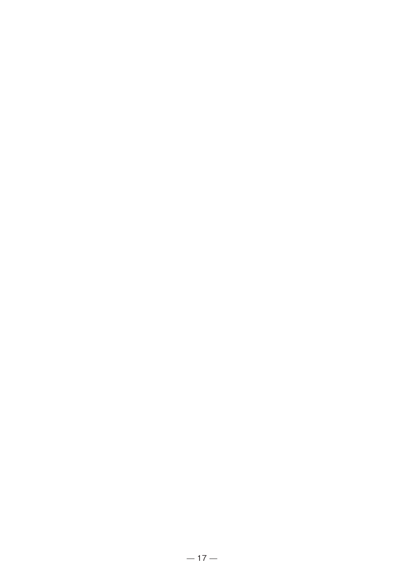$-17-$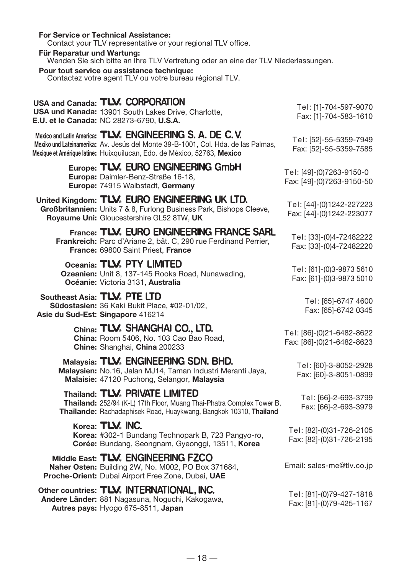| For Service or Technical Assistance:<br>Contact your TLV representative or your regional TLV office.             |                                                                                                                                                                                                                          |                                                        |
|------------------------------------------------------------------------------------------------------------------|--------------------------------------------------------------------------------------------------------------------------------------------------------------------------------------------------------------------------|--------------------------------------------------------|
| Für Reparatur und Wartung:<br>Wenden Sie sich bitte an Ihre TLV Vertretung oder an eine der TLV Niederlassungen. |                                                                                                                                                                                                                          |                                                        |
| Pour tout service ou assistance technique:<br>Contactez votre agent TLV ou votre bureau régional TLV.            |                                                                                                                                                                                                                          |                                                        |
|                                                                                                                  | USA and Canada: TLV. CORPORATION<br>USA und Kanada: 13901 South Lakes Drive, Charlotte,<br>E.U. et le Canada: NC 28273-6790, U.S.A.                                                                                      | Tel: [1]-704-597-9070<br>Fax: [1]-704-583-1610         |
|                                                                                                                  | Mexico and Latin America: TLV. ENGINEERING S. A. DE C.V.<br>Mexiko und Lateinamerika: Av. Jesús del Monte 39-B-1001, Col. Hda. de las Palmas,<br>Mexique et Amérique latine: Huixquilucan, Edo. de México, 52763, Mexico | Tel: [52]-55-5359-7949<br>Fax: [52]-55-5359-7585       |
|                                                                                                                  | Europe: TLV. EURO ENGINEERING GmbH<br>Europa: Daimler-Benz-Straße 16-18,<br>Europe: 74915 Waibstadt, Germany                                                                                                             | Tel: [49]-(0)7263-9150-0<br>Fax: [49]-(0)7263-9150-50  |
|                                                                                                                  | United Kingdom: TLV. EURO ENGINEERING UK LTD.<br>Großbritannien: Units 7 & 8, Furlong Business Park, Bishops Cleeve,<br>Royaume Uni: Gloucestershire GL52 8TW, UK                                                        | Tel: [44]-(0)1242-227223<br>Fax: [44]-(0)1242-223077   |
|                                                                                                                  | <b>France: TLV. EURO ENGINEERING FRANCE SARL</b><br>Frankreich: Parc d'Ariane 2, bât. C, 290 rue Ferdinand Perrier,<br>France: 69800 Saint Priest, France                                                                | Tel: [33]-(0)4-72482222<br>Fax: [33]-(0)4-72482220     |
|                                                                                                                  | Oceania: TLV. PTY LIMITED<br>Ozeanien: Unit 8, 137-145 Rooks Road, Nunawading,<br>Océanie: Victoria 3131, Australia                                                                                                      | Tel: [61]-(0)3-9873 5610<br>Fax: [61]-(0)3-9873 5010   |
|                                                                                                                  | Southeast Asia: TLV. PTE LTD<br>Südostasien: 36 Kaki Bukit Place, #02-01/02,<br>Asie du Sud-Est: Singapore 416214                                                                                                        | Tel: [65]-6747 4600<br>Fax: [65]-6742 0345             |
|                                                                                                                  | China: TLV SHANGHAI CO., LTD.<br>China: Room 5406, No. 103 Cao Bao Road.<br>Chine: Shanghai, China 200233                                                                                                                | Tel: [86]-(0)21-6482-8622<br>Fax: [86]-(0)21-6482-8623 |
|                                                                                                                  | Malaysia: TLV. ENGINEERING SDN, BHD.<br>Malaysien: No.16, Jalan MJ14, Taman Industri Meranti Jaya,<br>Malaisie: 47120 Puchong, Selangor, Malaysia                                                                        | Tel: [60]-3-8052-2928<br>Fax: [60]-3-8051-0899         |
|                                                                                                                  | Thailand: TLV. PRIVATE LIMITED<br>Thailand: 252/94 (K-L) 17th Floor, Muang Thai-Phatra Complex Tower B,<br>Thaïlande: Rachadaphisek Road, Huaykwang, Bangkok 10310, Thailand                                             | Tel: [66]-2-693-3799<br>Fax: [66]-2-693-3979           |
|                                                                                                                  | Korea: $T\mathbf{L}V$ INC.<br>Korea: #302-1 Bundang Technopark B, 723 Pangyo-ro,<br>Corée: Bundang, Seongnam, Gyeonggi, 13511, Korea                                                                                     | Tel: [82]-(0)31-726-2105<br>Fax: [82]-(0)31-726-2195   |
|                                                                                                                  | Middle East: TLV. ENGINEERING FZCO<br>Naher Osten: Building 2W, No. M002, PO Box 371684,<br>Proche-Orient: Dubai Airport Free Zone, Dubai, UAE                                                                           | Email: sales-me@tlv.co.jp                              |
|                                                                                                                  | Other countries: TLV. INTERNATIONAL, INC.<br>Andere Länder: 881 Nagasuna, Noguchi, Kakogawa,<br>Autres pays: Hyogo 675-8511, Japan                                                                                       | Tel: [81]-(0)79-427-1818<br>Fax: [81]-(0)79-425-1167   |